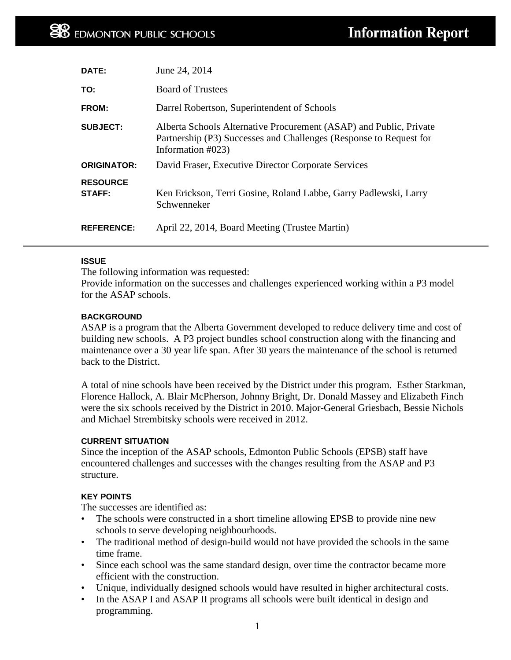| DATE:                            | June 24, 2014                                                                                                                                                     |
|----------------------------------|-------------------------------------------------------------------------------------------------------------------------------------------------------------------|
| TO:                              | <b>Board of Trustees</b>                                                                                                                                          |
| FROM:                            | Darrel Robertson, Superintendent of Schools                                                                                                                       |
| <b>SUBJECT:</b>                  | Alberta Schools Alternative Procurement (ASAP) and Public, Private<br>Partnership (P3) Successes and Challenges (Response to Request for<br>Information $\#023$ ) |
| <b>ORIGINATOR:</b>               | David Fraser, Executive Director Corporate Services                                                                                                               |
| <b>RESOURCE</b><br><b>STAFF:</b> | Ken Erickson, Terri Gosine, Roland Labbe, Garry Padlewski, Larry<br>Schwenneker                                                                                   |
| <b>REFERENCE:</b>                | April 22, 2014, Board Meeting (Trustee Martin)                                                                                                                    |

# **ISSUE**

The following information was requested:

Provide information on the successes and challenges experienced working within a P3 model for the ASAP schools.

### **BACKGROUND**

ASAP is a program that the Alberta Government developed to reduce delivery time and cost of building new schools. A P3 project bundles school construction along with the financing and maintenance over a 30 year life span. After 30 years the maintenance of the school is returned back to the District.

A total of nine schools have been received by the District under this program. Esther Starkman, Florence Hallock, A. Blair McPherson, Johnny Bright, Dr. Donald Massey and Elizabeth Finch were the six schools received by the District in 2010. Major-General Griesbach, Bessie Nichols and Michael Strembitsky schools were received in 2012.

#### **CURRENT SITUATION**

Since the inception of the ASAP schools, Edmonton Public Schools (EPSB) staff have encountered challenges and successes with the changes resulting from the ASAP and P3 structure.

# **KEY POINTS**

The successes are identified as:

- The schools were constructed in a short timeline allowing EPSB to provide nine new schools to serve developing neighbourhoods.
- The traditional method of design-build would not have provided the schools in the same time frame.
- Since each school was the same standard design, over time the contractor became more efficient with the construction.
- Unique, individually designed schools would have resulted in higher architectural costs.
- In the ASAP I and ASAP II programs all schools were built identical in design and programming.